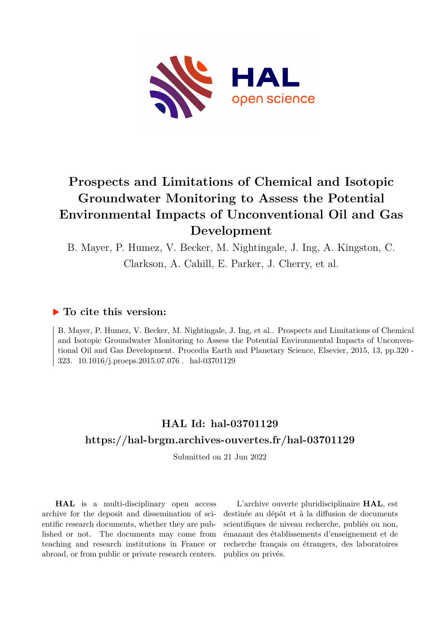

# **Prospects and Limitations of Chemical and Isotopic Groundwater Monitoring to Assess the Potential Environmental Impacts of Unconventional Oil and Gas Development**

B. Mayer, P. Humez, V. Becker, M. Nightingale, J. Ing, A. Kingston, C. Clarkson, A. Cahill, E. Parker, J. Cherry, et al.

### **To cite this version:**

B. Mayer, P. Humez, V. Becker, M. Nightingale, J. Ing, et al.. Prospects and Limitations of Chemical and Isotopic Groundwater Monitoring to Assess the Potential Environmental Impacts of Unconventional Oil and Gas Development. Procedia Earth and Planetary Science, Elsevier, 2015, 13, pp.320 - 323. 10.1016/j.proeps.2015.07.076 hal-03701129

### **HAL Id: hal-03701129 <https://hal-brgm.archives-ouvertes.fr/hal-03701129>**

Submitted on 21 Jun 2022

**HAL** is a multi-disciplinary open access archive for the deposit and dissemination of scientific research documents, whether they are published or not. The documents may come from teaching and research institutions in France or abroad, or from public or private research centers.

L'archive ouverte pluridisciplinaire **HAL**, est destinée au dépôt et à la diffusion de documents scientifiques de niveau recherche, publiés ou non, émanant des établissements d'enseignement et de recherche français ou étrangers, des laboratoires publics ou privés.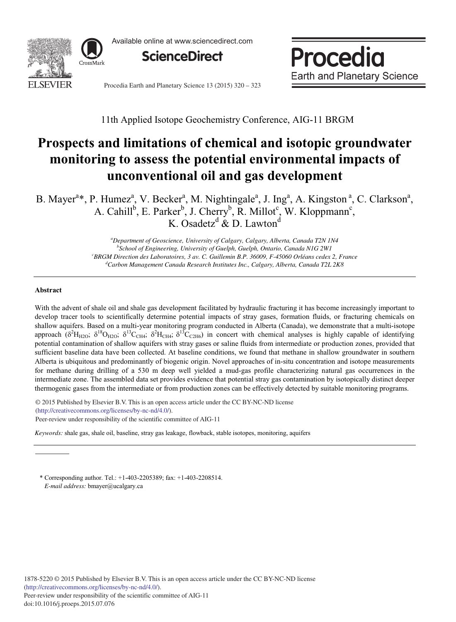

Available online at www.sciencedirect.com



Procedia **Earth and Planetary Science** 

Procedia Earth and Planetary Science 13 (2015) 320 - 323

11th Applied Isotope Geochemistry Conference, AIG-11 BRGM

## **Prospects and limitations of chemical and isotopic groundwater monitoring to assess the potential environmental impacts of unconventional oil and gas development**

B. Mayer<sup>a\*</sup>, P. Humez<sup>a</sup>, V. Becker<sup>a</sup>, M. Nightingale<sup>a</sup>, J. Ing<sup>a</sup>, A. Kingston<sup>a</sup>, C. Clarkson<sup>a</sup>, A. Cahill<sup>b</sup>, E. Parker<sup>b</sup>, J. Cherry<sup>b</sup>, R. Millot<sup>c</sup>, W. Kloppmann<sup>c</sup>, K. Osadetz<sup>d</sup> & D. Lawton<sup>d</sup>

> *a Department of Geoscience, University of Calgary, Calgary, Alberta, Canada T2N 1N4*  <sup>b</sup> School of Engineering, University of Guelph, Guelph, Ontario, Canada N1G 2W1<br>
> <sup>c</sup> RPGM Direction des Laboratoires, 3 av. C. Guillamin B R, 36000, E 45060 Orléans cedex <sup>e</sup>BRGM Direction des Laboratoires, 3 av. C. Guillemin B.P. 36009, F-45060 Orléans cedex 2, France *Carbon Management Canada Research Institutes Inc., Calgary, Alberta, Canada T2L 2K8*

#### **Abstract**

With the advent of shale oil and shale gas development facilitated by hydraulic fracturing it has become increasingly important to develop tracer tools to scientifically determine potential impacts of stray gases, formation fluids, or fracturing chemicals on shallow aquifers. Based on a multi-year monitoring program conducted in Alberta (Canada), we demonstrate that a multi-isotope approach  $(\delta^2 H_{H2O}; \delta^{18} O_{H2O}; \delta^{13} C_{CH4}; \delta^2 H_{CH4}; \delta^{13} C_{CH6})$  in concert with chemical analyses is highly capable of identifying potential contamination of shallow aquifers with stray gases or saline fluids from intermediate or production zones, provided that sufficient baseline data have been collected. At baseline conditions, we found that methane in shallow groundwater in southern Alberta is ubiquitous and predominantly of biogenic origin. Novel approaches of in-situ concentration and isotope measurements for methane during drilling of a 530 m deep well yielded a mud-gas profile characterizing natural gas occurrences in the intermediate zone. The assembled data set provides evidence that potential stray gas contamination by isotopically distinct deeper thermogenic gases from the intermediate or from production zones can be effectively detected by suitable monitoring programs.

O 2015 The Authors. Published by Elsevier B.V. This is an open accelerative (http://creativecommons.org/licenses/by-nc-nd/4.0/).  $P$ eer-review under responsibility of the scientific committee of AIG-11. © 2015 Published by Elsevier B.V. This is an open access article under the CC BY-NC-ND license

*Keywords:* shale gas, shale oil, baseline, stray gas leakage, flowback, stable isotopes, monitoring, aquifers

\* Corresponding author. Tel.: +1-403-2205389; fax: +1-403-2208514. *E-mail address:* bmayer@ucalgary.ca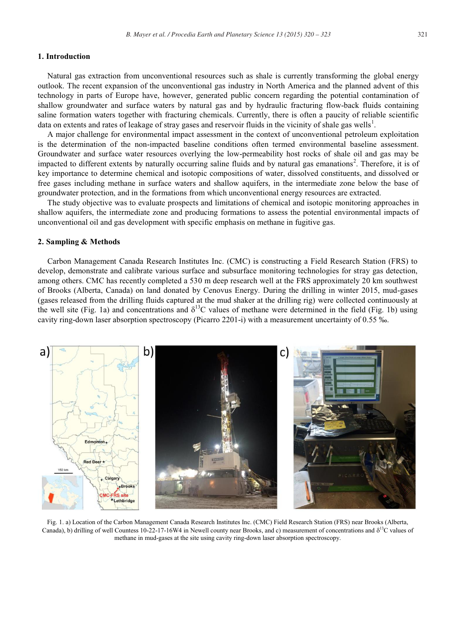#### **1. Introduction**

Natural gas extraction from unconventional resources such as shale is currently transforming the global energy outlook. The recent expansion of the unconventional gas industry in North America and the planned advent of this technology in parts of Europe have, however, generated public concern regarding the potential contamination of shallow groundwater and surface waters by natural gas and by hydraulic fracturing flow-back fluids containing saline formation waters together with fracturing chemicals. Currently, there is often a paucity of reliable scientific data on extents and rates of leakage of stray gases and reservoir fluids in the vicinity of shale gas wells<sup>1</sup>.

A major challenge for environmental impact assessment in the context of unconventional petroleum exploitation is the determination of the non-impacted baseline conditions often termed environmental baseline assessment. Groundwater and surface water resources overlying the low-permeability host rocks of shale oil and gas may be impacted to different extents by naturally occurring saline fluids and by natural gas emanations<sup>2</sup>. Therefore, it is of key importance to determine chemical and isotopic compositions of water, dissolved constituents, and dissolved or free gases including methane in surface waters and shallow aquifers, in the intermediate zone below the base of groundwater protection, and in the formations from which unconventional energy resources are extracted.

The study objective was to evaluate prospects and limitations of chemical and isotopic monitoring approaches in shallow aquifers, the intermediate zone and producing formations to assess the potential environmental impacts of unconventional oil and gas development with specific emphasis on methane in fugitive gas.

#### **2. Sampling & Methods**

Carbon Management Canada Research Institutes Inc. (CMC) is constructing a Field Research Station (FRS) to develop, demonstrate and calibrate various surface and subsurface monitoring technologies for stray gas detection, among others. CMC has recently completed a 530 m deep research well at the FRS approximately 20 km southwest of Brooks (Alberta, Canada) on land donated by Cenovus Energy. During the drilling in winter 2015, mud-gases (gases released from the drilling fluids captured at the mud shaker at the drilling rig) were collected continuously at the well site (Fig. 1a) and concentrations and  $\delta^{13}C$  values of methane were determined in the field (Fig. 1b) using cavity ring-down laser absorption spectroscopy (Picarro 2201-i) with a measurement uncertainty of 0.55 ‰.



Fig. 1. a) Location of the Carbon Management Canada Research Institutes Inc. (CMC) Field Research Station (FRS) near Brooks (Alberta, Canada), b) drilling of well Countess 10-22-17-16W4 in Newell county near Brooks, and c) measurement of concentrations and  $\delta^{13}$ C values of methane in mud-gases at the site using cavity ring-down laser absorption spectroscopy.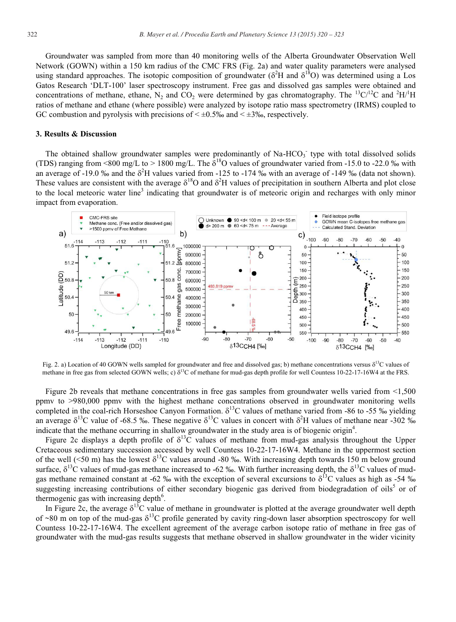Groundwater was sampled from more than 40 monitoring wells of the Alberta Groundwater Observation Well Network (GOWN) within a 150 km radius of the CMC FRS (Fig. 2a) and water quality parameters were analysed using standard approaches. The isotopic composition of groundwater ( $\delta^2$ H and  $\delta^{18}$ O) was determined using a Los Gatos Research 'DLT-100' laser spectroscopy instrument. Free gas and dissolved gas samples were obtained and concentrations of methane, ethane, N<sub>2</sub> and CO<sub>2</sub> were determined by gas chromatography. The <sup>13</sup>C/<sup>12</sup>C and <sup>2</sup>H/<sup>1</sup>H ratios of methane and ethane (where possible) were analyzed by isotope ratio mass spectrometry (IRMS) coupled to GC combustion and pyrolysis with precisions of  $\leq \pm 0.5\%$  and  $\leq \pm 3\%$ , respectively.

#### **3. Results & Discussion**

The obtained shallow groundwater samples were predominantly of Na-HCO<sub>3</sub> type with total dissolved solids (TDS) ranging from <800 mg/L to > 1800 mg/L. The  $\delta^{18}$ O values of groundwater varied from -15.0 to -22.0 ‰ with an average of -19.0 ‰ and the  $\delta^2$ H values varied from -125 to -174 ‰ with an average of -149 ‰ (data not shown). These values are consistent with the average  $\delta^{18}O$  and  $\delta^2H$  values of precipitation in southern Alberta and plot close to the local meteoric water line<sup>3</sup> indicating that groundwater is of meteoric origin and recharges with only minor impact from evaporation.



Fig. 2. a) Location of 40 GOWN wells sampled for groundwater and free and dissolved gas; b) methane concentrations versus  $\delta^{13}$ C values of methane in free gas from selected GOWN wells; c)  $\delta^{13}$ C of methane for mud-gas depth profile for well Countess 10-22-17-16W4 at the FRS.

Figure 2b reveals that methane concentrations in free gas samples from groundwater wells varied from <1,500 ppmv to >980,000 ppmv with the highest methane concentrations observed in groundwater monitoring wells completed in the coal-rich Horseshoe Canyon Formation.  $\delta^{13}$ C values of methane varied from -86 to -55 ‰ yielding an average  $\delta^{13}$ C value of -68.5 ‰. These negative  $\delta^{13}$ C values in concert with  $\delta^2$ H values of methane near -302 ‰ indicate that the methane occurring in shallow groundwater in the study area is of biogenic origin<sup>4</sup>.

Figure 2c displays a depth profile of  $\delta^{13}$ C values of methane from mud-gas analysis throughout the Upper Cretaceous sedimentary succession accessed by well Countess 10-22-17-16W4. Methane in the uppermost section of the well (<50 m) has the lowest  $\delta^{13}C$  values around -80 ‰. With increasing depth towards 150 m below ground surface,  $\delta^{13}$ C values of mud-gas methane increased to -62 ‰. With further increasing depth, the  $\delta^{13}$ C values of mudgas methane remained constant at -62 ‰ with the exception of several excursions to  $\delta^{13}$ C values as high as -54 ‰ suggesting increasing contributions of either secondary biogenic gas derived from biodegradation of oils<sup>5</sup> or of thermogenic gas with increasing depth $6$ .

In Figure 2c, the average  $\delta^{13}C$  value of methane in groundwater is plotted at the average groundwater well depth of ~80 m on top of the mud-gas  $\delta^{13}$ C profile generated by cavity ring-down laser absorption spectroscopy for well Countess 10-22-17-16W4. The excellent agreement of the average carbon isotope ratio of methane in free gas of groundwater with the mud-gas results suggests that methane observed in shallow groundwater in the wider vicinity